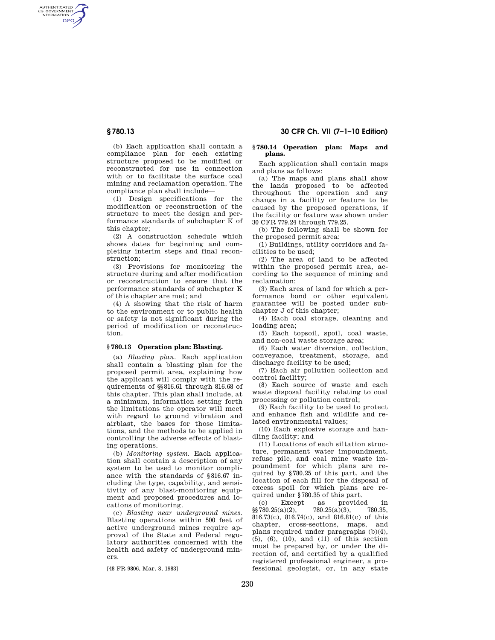AUTHENTICATED<br>U.S. GOVERNMENT<br>INFORMATION **GPO** 

**§ 780.13 30 CFR Ch. VII (7–1–10 Edition)** 

(b) Each application shall contain a compliance plan for each existing structure proposed to be modified or reconstructed for use in connection with or to facilitate the surface coal mining and reclamation operation. The compliance plan shall include—

(1) Design specifications for the modification or reconstruction of the structure to meet the design and performance standards of subchapter K of this chapter;

(2) A construction schedule which shows dates for beginning and completing interim steps and final reconstruction;

(3) Provisions for monitoring the structure during and after modification or reconstruction to ensure that the performance standards of subchapter K of this chapter are met; and

(4) A showing that the risk of harm to the environment or to public health or safety is not significant during the period of modification or reconstruction.

## **§ 780.13 Operation plan: Blasting.**

(a) *Blasting plan.* Each application shall contain a blasting plan for the proposed permit area, explaining how the applicant will comply with the requirements of §§816.61 through 816.68 of this chapter. This plan shall include, at a minimum, information setting forth the limitations the operator will meet with regard to ground vibration and airblast, the bases for those limitations, and the methods to be applied in controlling the adverse effects of blasting operations.

(b) *Monitoring system.* Each application shall contain a description of any system to be used to monitor compliance with the standards of §816.67 including the type, capability, and sensitivity of any blast-monitoring equipment and proposed procedures and locations of monitoring.

(c) *Blasting near underground mines.*  Blasting operations within 500 feet of active underground mines require approval of the State and Federal regulatory authorities concerned with the health and safety of underground miners.

[48 FR 9806, Mar. 8, 1983]

## **§ 780.14 Operation plan: Maps and plans.**

Each application shall contain maps and plans as follows:

(a) The maps and plans shall show the lands proposed to be affected throughout the operation and any change in a facility or feature to be caused by the proposed operations, if the facility or feature was shown under 30 CFR 779.24 through 779.25.

(b) The following shall be shown for the proposed permit area:

(1) Buildings, utility corridors and facilities to be used;

(2) The area of land to be affected within the proposed permit area, according to the sequence of mining and reclamation;

(3) Each area of land for which a performance bond or other equivalent guarantee will be posted under subchapter J of this chapter;

(4) Each coal storage, cleaning and loading area;

(5) Each topsoil, spoil, coal waste, and non-coal waste storage area;

(6) Each water diversion, collection, conveyance, treatment, storage, and discharge facility to be used;

(7) Each air pollution collection and control facility;

(8) Each source of waste and each waste disposal facility relating to coal processing or pollution control;

(9) Each facility to be used to protect and enhance fish and wildlife and related environmental values;

(10) Each explosive storage and handling facility; and

(11) Locations of each siltation structure, permanent water impoundment, refuse pile, and coal mine waste impoundment for which plans are required by §780.25 of this part, and the location of each fill for the disposal of excess spoil for which plans are required under §780.35 of this part.

(c) Except as provided in  $780.25(a)(2)$ ,  $780.25(a)(3)$ ,  $780.35$ ,  $$8780.25(a)(2),$ 816.73(c), 816.74(c), and 816.81(c) of this chapter, cross-sections, maps, and plans required under paragraphs (b)(4), (5), (6), (10), and (11) of this section must be prepared by, or under the direction of, and certified by a qualified registered professional engineer, a professional geologist, or, in any state